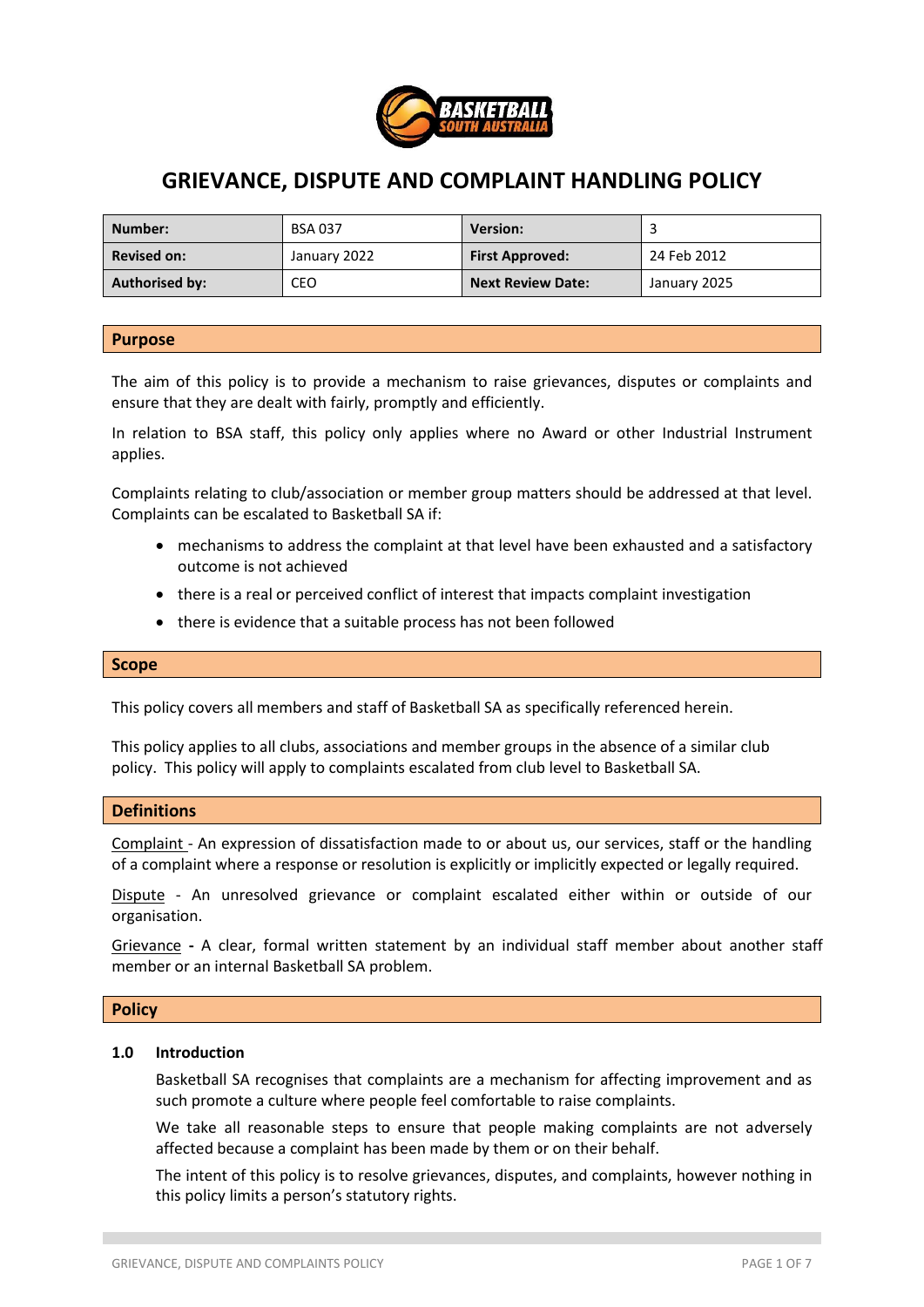

# **GRIEVANCE, DISPUTE AND COMPLAINT HANDLING POLICY**

| Number:               | <b>BSA 037</b> | <b>Version:</b>          |              |
|-----------------------|----------------|--------------------------|--------------|
| <b>Revised on:</b>    | January 2022   | <b>First Approved:</b>   | 24 Feb 2012  |
| <b>Authorised by:</b> | CEO            | <b>Next Review Date:</b> | January 2025 |

#### **Purpose**

The aim of this policy is to provide a mechanism to raise grievances, disputes or complaints and ensure that they are dealt with fairly, promptly and efficiently.

In relation to BSA staff, this policy only applies where no Award or other Industrial Instrument applies.

Complaints relating to club/association or member group matters should be addressed at that level. Complaints can be escalated to Basketball SA if:

- mechanisms to address the complaint at that level have been exhausted and a satisfactory outcome is not achieved
- there is a real or perceived conflict of interest that impacts complaint investigation
- there is evidence that a suitable process has not been followed

#### **Scope**

This policy covers all members and staff of Basketball SA as specifically referenced herein.

This policy applies to all clubs, associations and member groups in the absence of a similar club policy. This policy will apply to complaints escalated from club level to Basketball SA.

#### **Definitions**

Complaint - An expression of dissatisfaction made to or about us, our services, staff or the handling of a complaint where a response or resolution is explicitly or implicitly expected or legally required.

Dispute - An unresolved grievance or complaint escalated either within or outside of our organisation.

Grievance **-** A clear, formal written statement by an individual staff member about another staff member or an internal Basketball SA problem.

#### **Policy**

#### **1.0 Introduction**

Basketball SA recognises that complaints are a mechanism for affecting improvement and as such promote a culture where people feel comfortable to raise complaints.

We take all reasonable steps to ensure that people making complaints are not adversely affected because a complaint has been made by them or on their behalf.

The intent of this policy is to resolve grievances, disputes, and complaints, however nothing in this policy limits a person's statutory rights.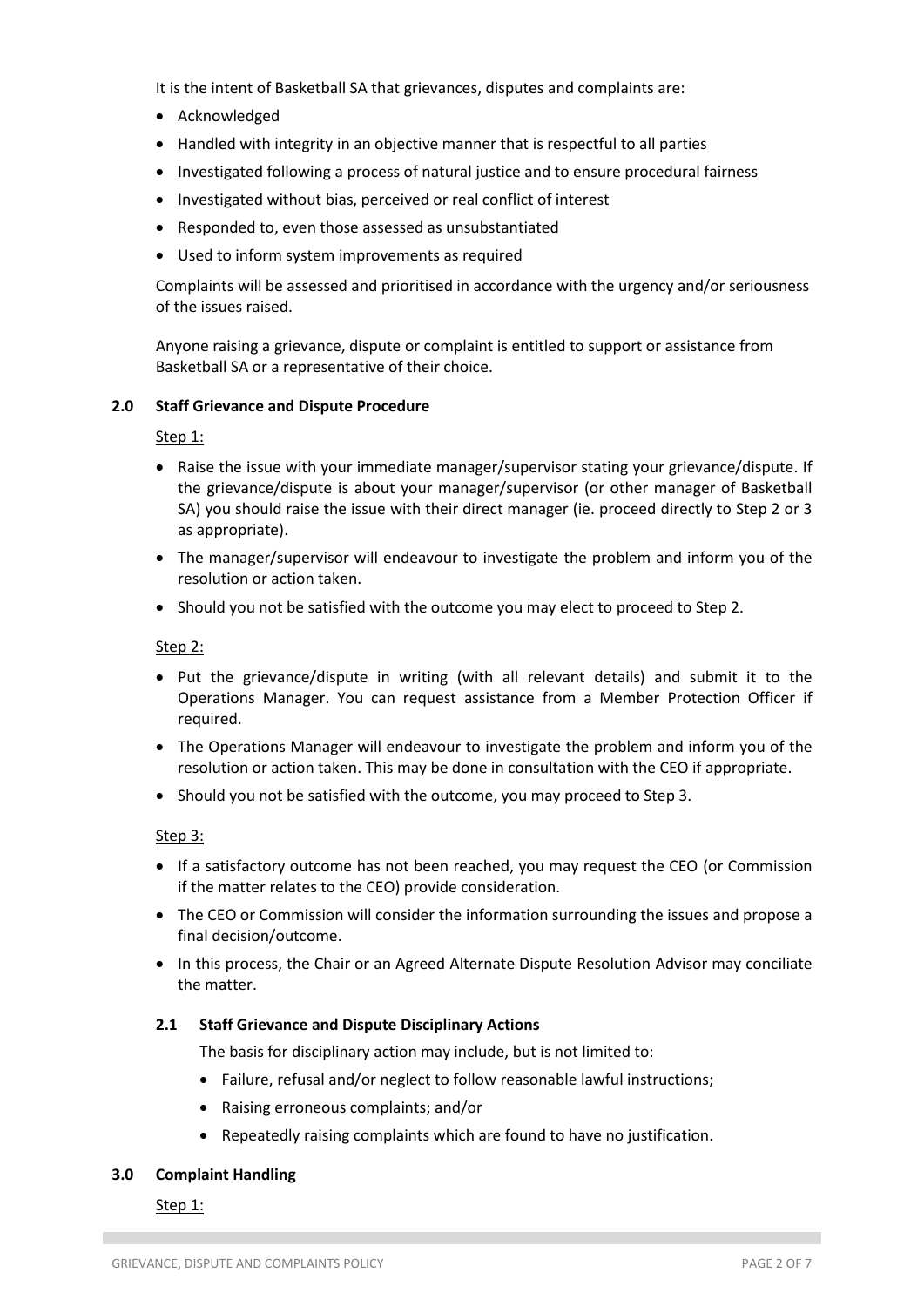It is the intent of Basketball SA that grievances, disputes and complaints are:

- Acknowledged
- Handled with integrity in an objective manner that is respectful to all parties
- Investigated following a process of natural justice and to ensure procedural fairness
- Investigated without bias, perceived or real conflict of interest
- Responded to, even those assessed as unsubstantiated
- Used to inform system improvements as required

Complaints will be assessed and prioritised in accordance with the urgency and/or seriousness of the issues raised.

Anyone raising a grievance, dispute or complaint is entitled to support or assistance from Basketball SA or a representative of their choice.

#### **2.0 Staff Grievance and Dispute Procedure**

Step 1:

- Raise the issue with your immediate manager/supervisor stating your grievance/dispute. If the grievance/dispute is about your manager/supervisor (or other manager of Basketball SA) you should raise the issue with their direct manager (ie. proceed directly to Step 2 or 3 as appropriate).
- The manager/supervisor will endeavour to investigate the problem and inform you of the resolution or action taken.
- Should you not be satisfied with the outcome you may elect to proceed to Step 2.

Step 2:

- Put the grievance/dispute in writing (with all relevant details) and submit it to the Operations Manager. You can request assistance from a Member Protection Officer if required.
- The Operations Manager will endeavour to investigate the problem and inform you of the resolution or action taken. This may be done in consultation with the CEO if appropriate.
- Should you not be satisfied with the outcome, you may proceed to Step 3.

Step 3:

- If a satisfactory outcome has not been reached, you may request the CEO (or Commission if the matter relates to the CEO) provide consideration.
- The CEO or Commission will consider the information surrounding the issues and propose a final decision/outcome.
- In this process, the Chair or an Agreed Alternate Dispute Resolution Advisor may conciliate the matter.

#### **2.1 Staff Grievance and Dispute Disciplinary Actions**

The basis for disciplinary action may include, but is not limited to:

- Failure, refusal and/or neglect to follow reasonable lawful instructions;
- Raising erroneous complaints; and/or
- Repeatedly raising complaints which are found to have no justification.

#### **3.0 Complaint Handling**

Step 1: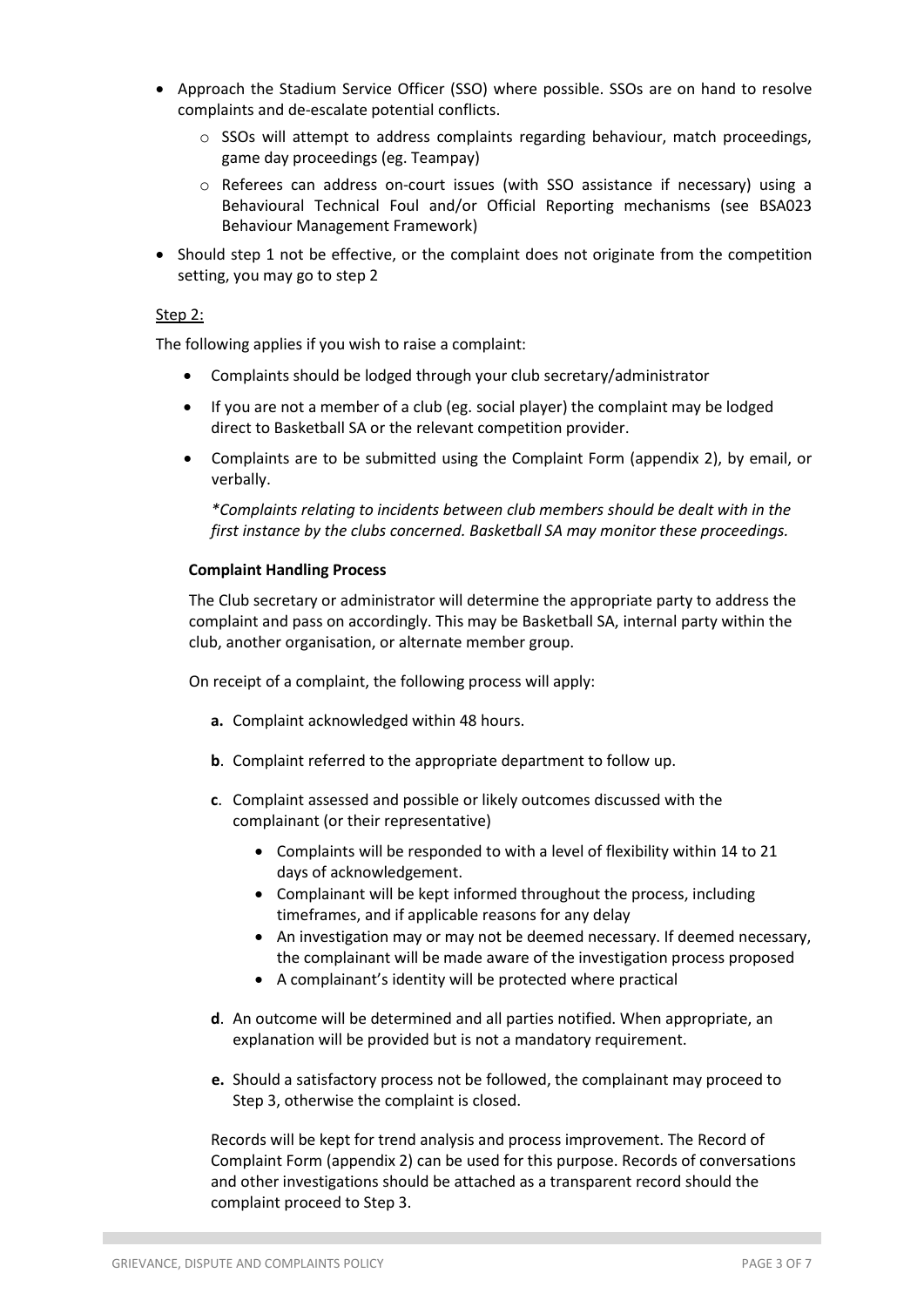- Approach the Stadium Service Officer (SSO) where possible. SSOs are on hand to resolve complaints and de-escalate potential conflicts.
	- $\circ$  SSOs will attempt to address complaints regarding behaviour, match proceedings, game day proceedings (eg. Teampay)
	- o Referees can address on-court issues (with SSO assistance if necessary) using a Behavioural Technical Foul and/or Official Reporting mechanisms (see BSA023 Behaviour Management Framework)
- Should step 1 not be effective, or the complaint does not originate from the competition setting, you may go to step 2

#### Step 2:

The following applies if you wish to raise a complaint:

- Complaints should be lodged through your club secretary/administrator
- If you are not a member of a club (eg. social player) the complaint may be lodged direct to Basketball SA or the relevant competition provider.
- Complaints are to be submitted using the Complaint Form (appendix 2), by email, or verbally.

*\*Complaints relating to incidents between club members should be dealt with in the first instance by the clubs concerned. Basketball SA may monitor these proceedings.* 

#### **Complaint Handling Process**

The Club secretary or administrator will determine the appropriate party to address the complaint and pass on accordingly. This may be Basketball SA, internal party within the club, another organisation, or alternate member group.

On receipt of a complaint, the following process will apply:

- **a.** Complaint acknowledged within 48 hours.
- **b**. Complaint referred to the appropriate department to follow up.
- **c**. Complaint assessed and possible or likely outcomes discussed with the complainant (or their representative)
	- Complaints will be responded to with a level of flexibility within 14 to 21 days of acknowledgement.
	- Complainant will be kept informed throughout the process, including timeframes, and if applicable reasons for any delay
	- An investigation may or may not be deemed necessary. If deemed necessary, the complainant will be made aware of the investigation process proposed
	- A complainant's identity will be protected where practical
- **d**. An outcome will be determined and all parties notified. When appropriate, an explanation will be provided but is not a mandatory requirement.
- **e.** Should a satisfactory process not be followed, the complainant may proceed to Step 3, otherwise the complaint is closed.

Records will be kept for trend analysis and process improvement. The Record of Complaint Form (appendix 2) can be used for this purpose. Records of conversations and other investigations should be attached as a transparent record should the complaint proceed to Step 3.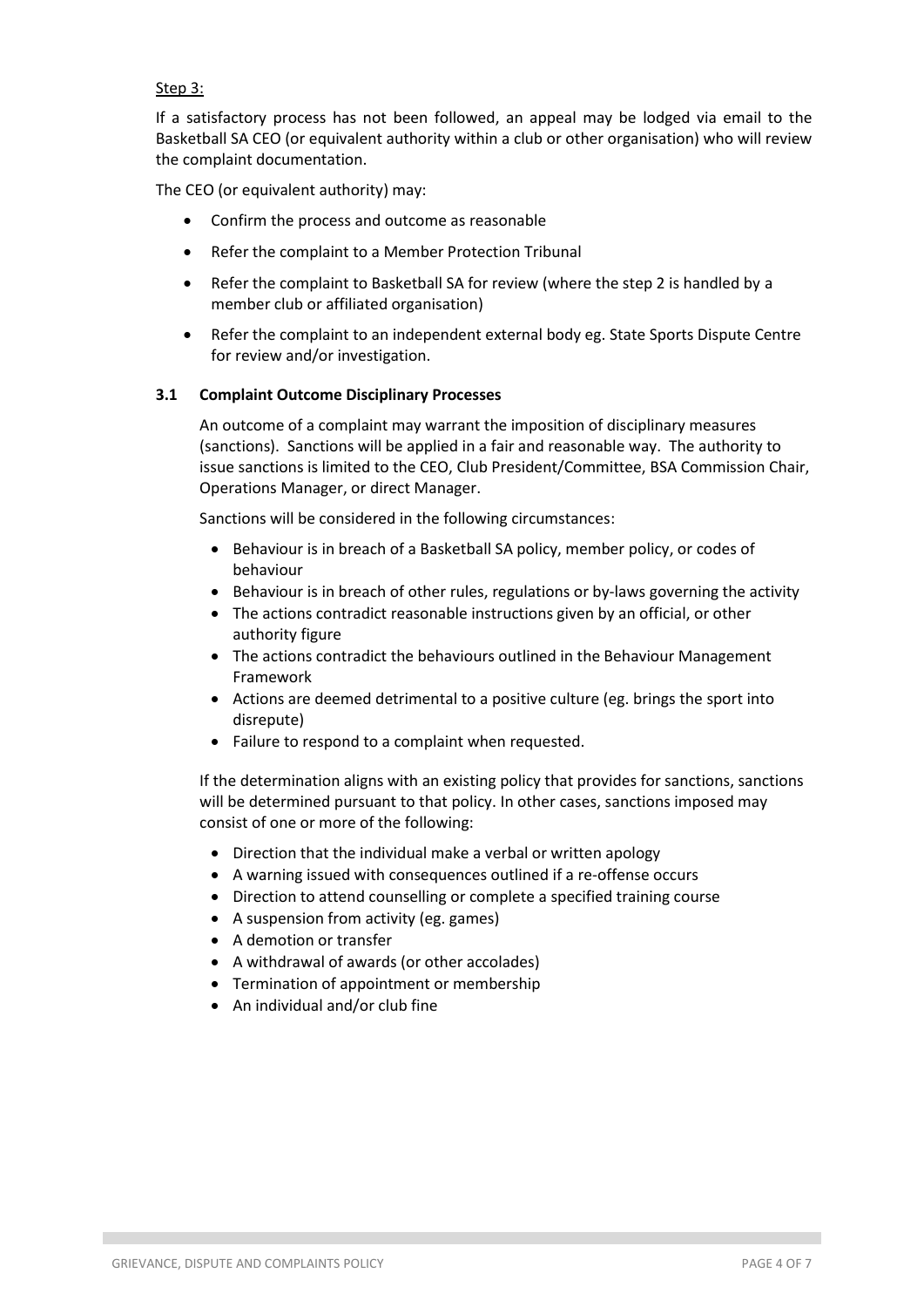### Step 3:

If a satisfactory process has not been followed, an appeal may be lodged via email to the Basketball SA CEO (or equivalent authority within a club or other organisation) who will review the complaint documentation.

The CEO (or equivalent authority) may:

- Confirm the process and outcome as reasonable
- Refer the complaint to a Member Protection Tribunal
- Refer the complaint to Basketball SA for review (where the step 2 is handled by a member club or affiliated organisation)
- Refer the complaint to an independent external body eg. State Sports Dispute Centre for review and/or investigation.

#### **3.1 Complaint Outcome Disciplinary Processes**

An outcome of a complaint may warrant the imposition of disciplinary measures (sanctions). Sanctions will be applied in a fair and reasonable way. The authority to issue sanctions is limited to the CEO, Club President/Committee, BSA Commission Chair, Operations Manager, or direct Manager.

Sanctions will be considered in the following circumstances:

- Behaviour is in breach of a Basketball SA policy, member policy, or codes of behaviour
- Behaviour is in breach of other rules, regulations or by-laws governing the activity
- The actions contradict reasonable instructions given by an official, or other authority figure
- The actions contradict the behaviours outlined in the Behaviour Management Framework
- Actions are deemed detrimental to a positive culture (eg. brings the sport into disrepute)
- Failure to respond to a complaint when requested.

If the determination aligns with an existing policy that provides for sanctions, sanctions will be determined pursuant to that policy. In other cases, sanctions imposed may consist of one or more of the following:

- Direction that the individual make a verbal or written apology
- A warning issued with consequences outlined if a re-offense occurs
- Direction to attend counselling or complete a specified training course
- A suspension from activity (eg. games)
- A demotion or transfer
- A withdrawal of awards (or other accolades)
- Termination of appointment or membership
- An individual and/or club fine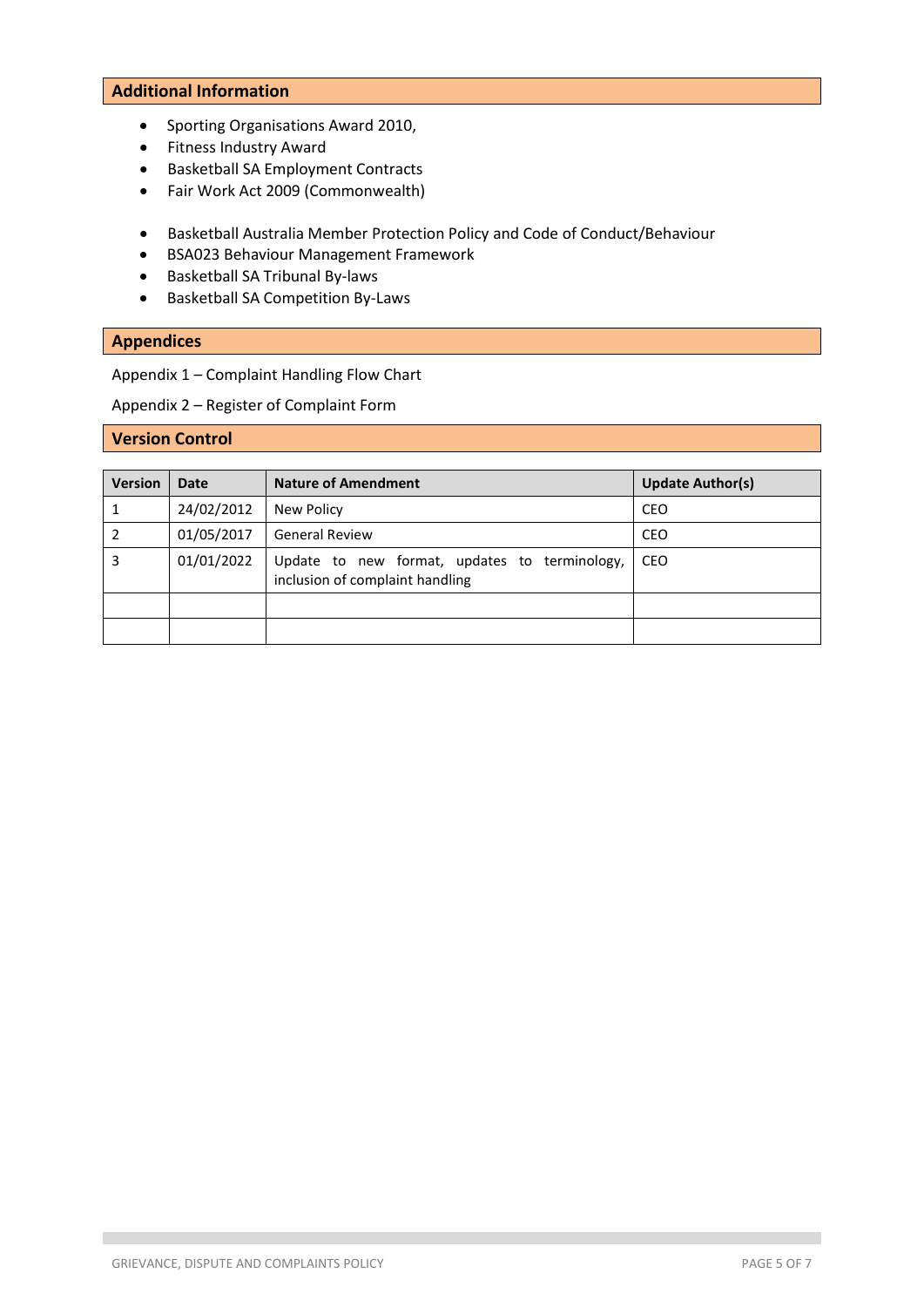#### **Additional Information**

- Sporting Organisations Award 2010,
- Fitness Industry Award
- Basketball SA Employment Contracts
- Fair Work Act 2009 (Commonwealth)
- Basketball Australia Member Protection Policy and Code of Conduct/Behaviour
- BSA023 Behaviour Management Framework
- Basketball SA Tribunal By-laws
- Basketball SA Competition By-Laws

## **Appendices**

Appendix 1 – Complaint Handling Flow Chart

Appendix 2 – Register of Complaint Form

# **Version Control**

| <b>Version</b> | <b>Date</b> | <b>Nature of Amendment</b>                                                       | <b>Update Author(s)</b> |
|----------------|-------------|----------------------------------------------------------------------------------|-------------------------|
|                | 24/02/2012  | New Policy                                                                       | CEO                     |
|                | 01/05/2017  | <b>General Review</b>                                                            | CEO                     |
| 3              | 01/01/2022  | Update to new format, updates to terminology,<br>inclusion of complaint handling | <b>CEO</b>              |
|                |             |                                                                                  |                         |
|                |             |                                                                                  |                         |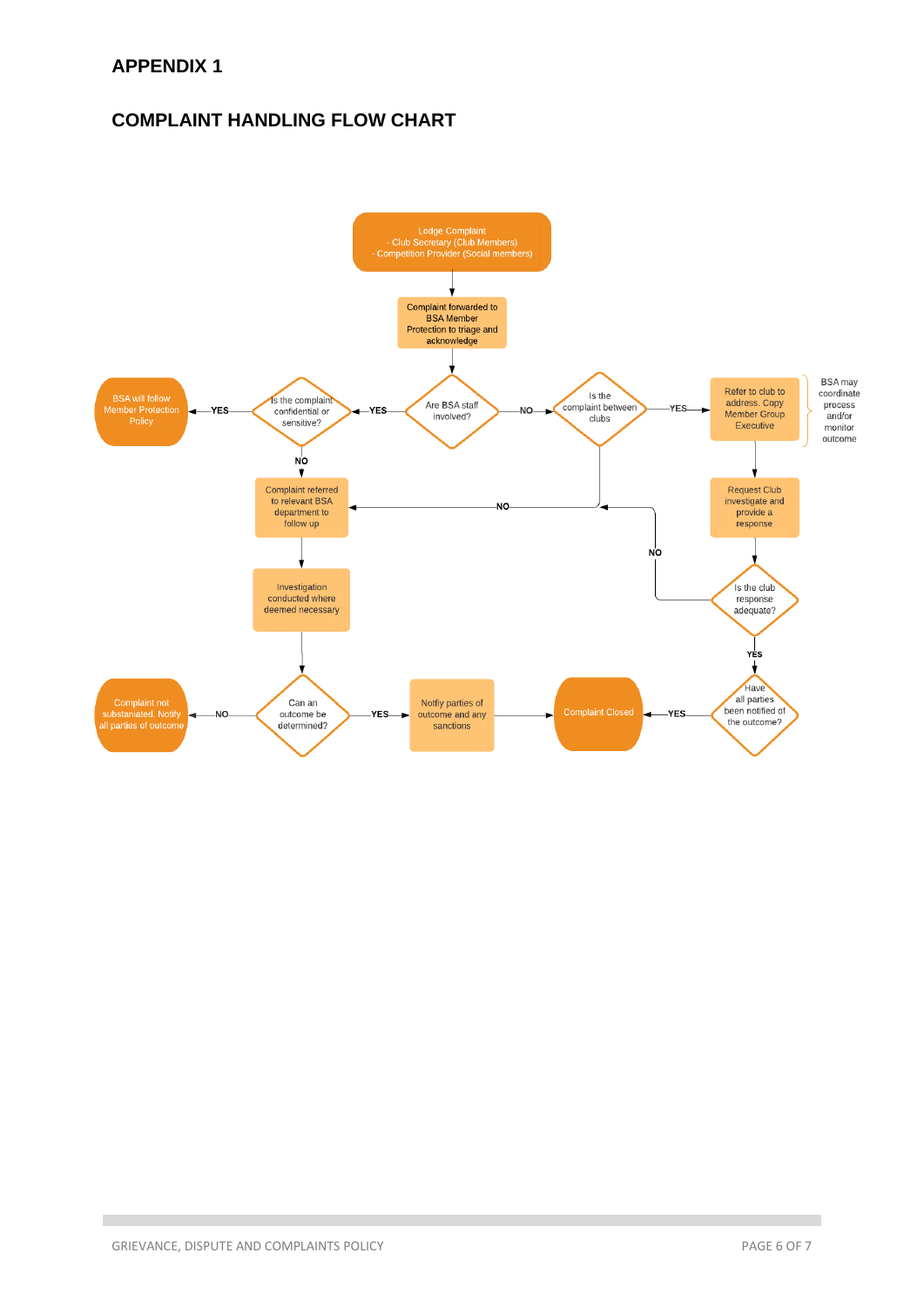# **COMPLAINT HANDLING FLOW CHART**